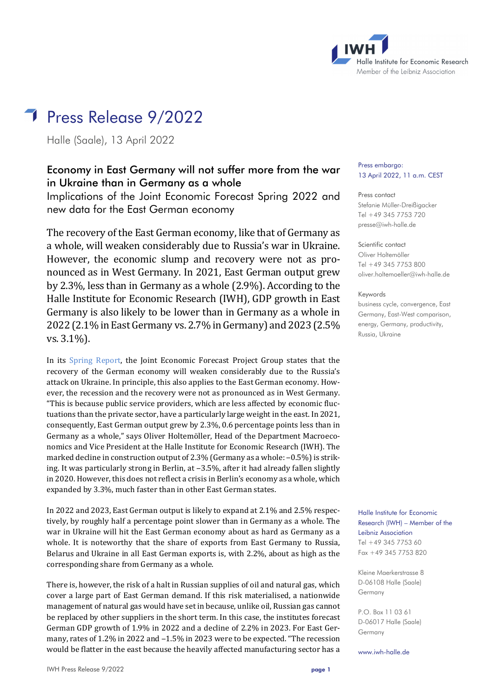

# Press Release 9/2022

Halle (Saale), 13 April 2022

# Economy in East Germany will not suffer more from the war in Ukraine than in Germany as a whole

Implications of the Joint Economic Forecast Spring 2022 and new data for the East German economy

The recovery of the East German economy, like that of Germany as a whole, will weaken considerably due to Russia's war in Ukraine. However, the economic slump and recovery were not as pronounced as in West Germany. In 2021, East German output grew by 2.3%, less than in Germany as a whole (2.9%). According to the Halle Institute for Economic Research (IWH), GDP growth in East Germany is also likely to be lower than in Germany as a whole in 2022 (2.1% in East Germany vs. 2.7% in Germany) and 2023 (2.5% vs. 3.1%).

In its [Spring Report,](https://gemeinschaftsdiagnose.de/category/gutachten/) the Joint Economic Forecast Project Group states that the recovery of the German economy will weaken considerably due to the Russia's attack on Ukraine. In principle, this also applies to the East German economy. However, the recession and the recovery were not as pronounced as in West Germany. "This is because public service providers, which are less affected by economic fluctuations than the private sector, have a particularly large weight in the east. In 2021, consequently, East German output grew by 2.3%, 0.6 percentage points less than in Germany as a whole," says Oliver Holtemöller, Head of the Department Macroeconomics and Vice President at the Halle Institute for Economic Research (IWH). The marked decline in construction output of 2.3% (Germany as a whole:  $-0.5\%$ ) is striking. It was particularly strong in Berlin, at  $-3.5\%$ , after it had already fallen slightly in 2020. However, this does not reflect a crisis in Berlin's economy as a whole, which expanded by 3.3%, much faster than in other East German states.

In 2022 and 2023, East German output is likely to expand at 2.1% and 2.5% respectively, by roughly half a percentage point slower than in Germany as a whole. The war in Ukraine will hit the East German economy about as hard as Germany as a whole. It is noteworthy that the share of exports from East Germany to Russia, Belarus and Ukraine in all East German exports is, with 2.2%, about as high as the corresponding share from Germany as a whole.

There is, however, the risk of a halt in Russian supplies of oil and natural gas, which cover a large part of East German demand. If this risk materialised, a nationwide management of natural gas would have set in because, unlike oil, Russian gas cannot be replaced by other suppliers in the short term. In this case, the institutes forecast German GDP growth of 1.9% in 2022 and a decline of 2.2% in 2023. For East Germany, rates of 1.2% in 2022 and  $-1.5%$  in 2023 were to be expected. "The recession would be flatter in the east because the heavily affected manufacturing sector has a

#### Press embargo: 13 April 2022, 11 a.m. CEST

Press contact Stefanie Müller-Dreißigacker Tel +49 345 7753 720 [presse@iwh-halle.de](mailto:presse@iwh-halle.de)

### Scientific contact Oliver Holtemöller Tel +49 345 7753 800

[oliver.holtemoeller@iwh-halle.de](mailto:oliver.holtemoeller@iwh-halle.de)

#### Keywords

business cycle, convergence, East Germany, East-West comparison, energy, Germany, productivity, Russia, Ukraine

Halle Institute for Economic Research (IWH) – Member of the Leibniz Association Tel +49 345 7753 60 Fax +49 345 7753 820

Kleine Maerkerstrasse 8 D-06108 Halle (Saale) Germany

P.O. Box 11 03 61 D-06017 Halle (Saale) Germany

www.iwh-halle.de